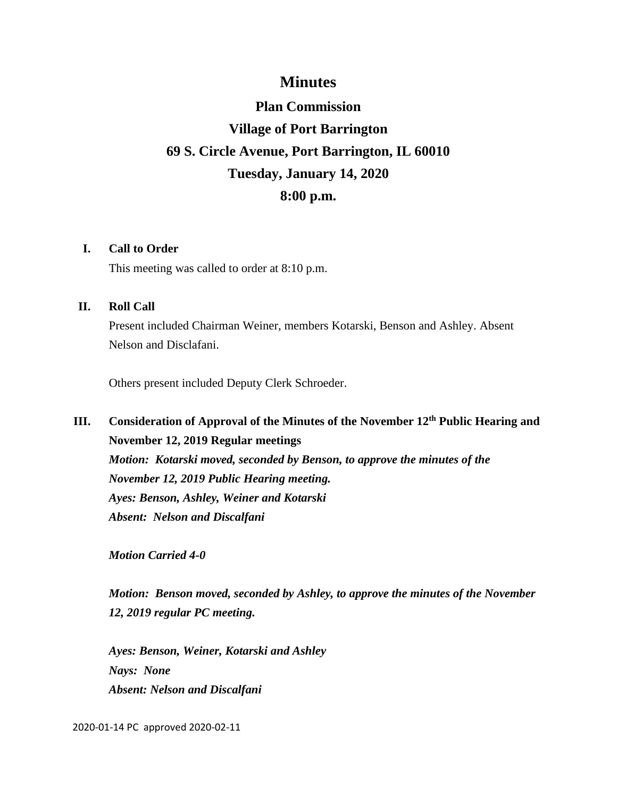### **Minutes**

# **Plan Commission Village of Port Barrington 69 S. Circle Avenue, Port Barrington, IL 60010 Tuesday, January 14, 2020 8:00 p.m.**

#### **I. Call to Order**

This meeting was called to order at 8:10 p.m.

#### **II. Roll Call**

Present included Chairman Weiner, members Kotarski, Benson and Ashley. Absent Nelson and Disclafani.

Others present included Deputy Clerk Schroeder.

## **III. Consideration of Approval of the Minutes of the November 12th Public Hearing and November 12, 2019 Regular meetings** *Motion: Kotarski moved, seconded by Benson, to approve the minutes of the*

*November 12, 2019 Public Hearing meeting. Ayes: Benson, Ashley, Weiner and Kotarski Absent: Nelson and Discalfani*

*Motion Carried 4-0*

*Motion: Benson moved, seconded by Ashley, to approve the minutes of the November 12, 2019 regular PC meeting.*

*Ayes: Benson, Weiner, Kotarski and Ashley Nays: None Absent: Nelson and Discalfani*